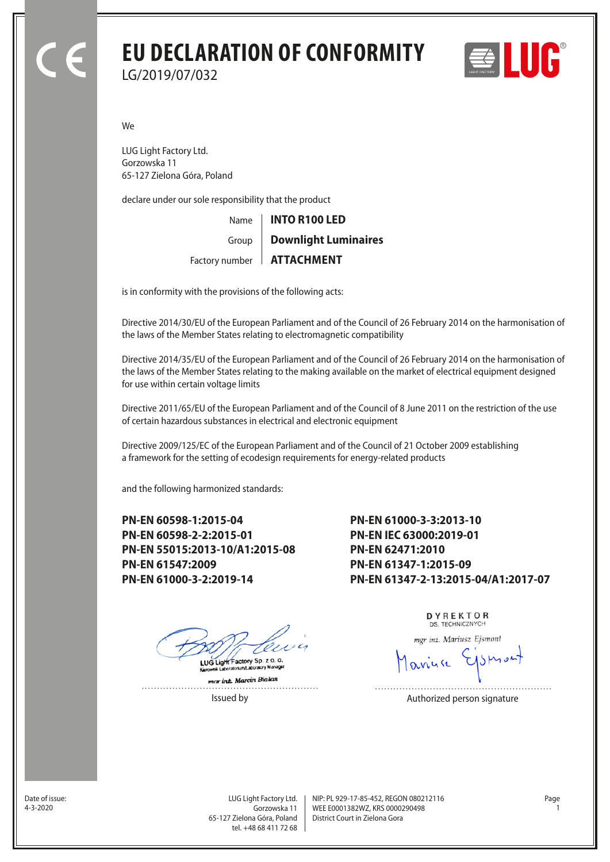## **EU DECLARATION OF CONFORMITY** LG/2019/07/032



We

LUG Light Factory Ltd. Gorzowska 11 65-127 Zielona Góra, Poland

declare under our sole responsibility that the product

Name Factory number | **ATTACHMENT** Group **INTO R100 LED Downlight Luminaires**

is in conformity with the provisions of the following acts:

Directive 2014/30/EU of the European Parliament and of the Council of 26 February 2014 on the harmonisation of the laws of the Member States relating to electromagnetic compatibility

Directive 2014/35/EU of the European Parliament and of the Council of 26 February 2014 on the harmonisation of the laws of the Member States relating to the making available on the market of electrical equipment designed for use within certain voltage limits

Directive 2011/65/EU of the European Parliament and of the Council of 8 June 2011 on the restriction of the use of certain hazardous substances in electrical and electronic equipment

Directive 2009/125/EC of the European Parliament and of the Council of 21 October 2009 establishing a framework for the setting of ecodesign requirements for energy-related products

and the following harmonized standards:

**PN-EN 60598-1:2015-04 PN-EN 60598-2-2:2015-01 PN-EN 55015:2013-10/A1:2015-08 PN-EN 61547:2009 PN-EN 61000-3-2:2019-14**

**PN-EN 61000-3-3:2013-10 PN-EN IEC 63000:2019-01 PN-EN 62471:2010 PN-EN 61347-1:2015-09 PN-EN 61347-2-13:2015-04/A1:2017-07**

LUG Light Factory Sp. z o. o.

mar int. Marcin Bialas  DYREKTOR DS. TECHNICZNYCH

mgr inż. Mariusz Ejsmont

Issued by **Authorized person signature** 

Date of issue:<br>4-3-2020

Gorzowska 11 65-127 Zielona Góra, Poland tel. +48 68 411 72 68

LUG Light Factory Ltd. Page NIP: PL 929-17-85-452, REGON 080212116 WEE E0001382WZ, KRS 0000290498 4-3-2020 1 District Court in Zielona Gora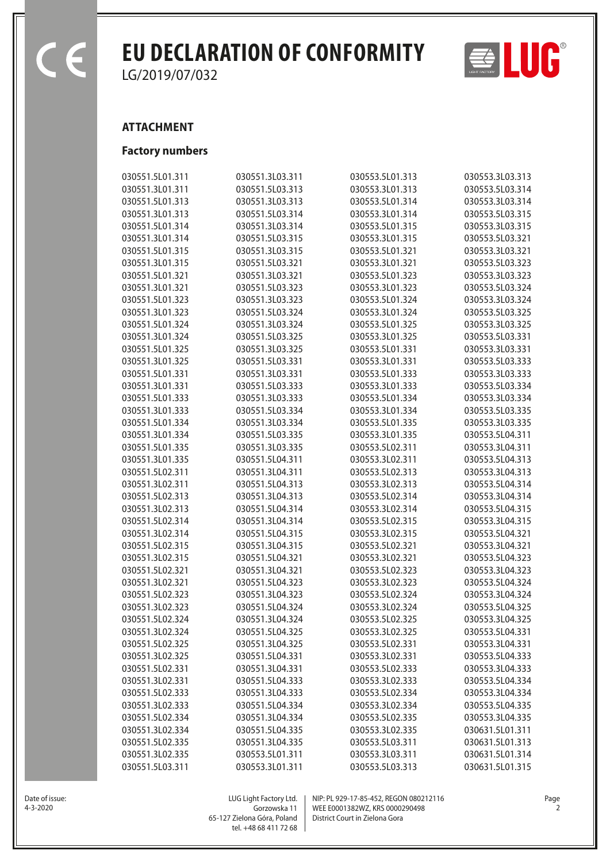$\overline{\epsilon}$ 

## **EU DECLARATION OF CONFORMITY**  $\Rightarrow$  **LUC**

LG/2019/07/032

## **ATTACHMENT**

## **Factory numbers**

| 030551.5L01.311 | 030551.3L03.311                                                                                                                                                                                                                                     | 030553.5L01.313                                                                                                                                                                                                                                                                                                                                                                                                                | 030553.3L03.313                                                                                                                                                                                                                                                                                                                                                                                                                |
|-----------------|-----------------------------------------------------------------------------------------------------------------------------------------------------------------------------------------------------------------------------------------------------|--------------------------------------------------------------------------------------------------------------------------------------------------------------------------------------------------------------------------------------------------------------------------------------------------------------------------------------------------------------------------------------------------------------------------------|--------------------------------------------------------------------------------------------------------------------------------------------------------------------------------------------------------------------------------------------------------------------------------------------------------------------------------------------------------------------------------------------------------------------------------|
| 030551.3L01.311 | 030551.5L03.313                                                                                                                                                                                                                                     | 030553.3L01.313                                                                                                                                                                                                                                                                                                                                                                                                                | 030553.5L03.314                                                                                                                                                                                                                                                                                                                                                                                                                |
| 030551.5L01.313 | 030551.3L03.313                                                                                                                                                                                                                                     | 030553.5L01.314                                                                                                                                                                                                                                                                                                                                                                                                                | 030553.3L03.314                                                                                                                                                                                                                                                                                                                                                                                                                |
| 030551.3L01.313 | 030551.5L03.314                                                                                                                                                                                                                                     | 030553.3L01.314                                                                                                                                                                                                                                                                                                                                                                                                                | 030553.5L03.315                                                                                                                                                                                                                                                                                                                                                                                                                |
| 030551.5L01.314 | 030551.3L03.314                                                                                                                                                                                                                                     | 030553.5L01.315                                                                                                                                                                                                                                                                                                                                                                                                                | 030553.3L03.315                                                                                                                                                                                                                                                                                                                                                                                                                |
| 030551.3L01.314 | 030551.5L03.315                                                                                                                                                                                                                                     | 030553.3L01.315                                                                                                                                                                                                                                                                                                                                                                                                                | 030553.5L03.321                                                                                                                                                                                                                                                                                                                                                                                                                |
| 030551.5L01.315 | 030551.3L03.315                                                                                                                                                                                                                                     | 030553.5L01.321                                                                                                                                                                                                                                                                                                                                                                                                                | 030553.3L03.321                                                                                                                                                                                                                                                                                                                                                                                                                |
| 030551.3L01.315 | 030551.5L03.321                                                                                                                                                                                                                                     | 030553.3L01.321                                                                                                                                                                                                                                                                                                                                                                                                                | 030553.5L03.323                                                                                                                                                                                                                                                                                                                                                                                                                |
| 030551.5L01.321 | 030551.3L03.321                                                                                                                                                                                                                                     | 030553.5L01.323                                                                                                                                                                                                                                                                                                                                                                                                                | 030553.3L03.323                                                                                                                                                                                                                                                                                                                                                                                                                |
| 030551.3L01.321 | 030551.5L03.323                                                                                                                                                                                                                                     | 030553.3L01.323                                                                                                                                                                                                                                                                                                                                                                                                                | 030553.5L03.324                                                                                                                                                                                                                                                                                                                                                                                                                |
| 030551.5L01.323 | 030551.3L03.323                                                                                                                                                                                                                                     | 030553.5L01.324                                                                                                                                                                                                                                                                                                                                                                                                                | 030553.3L03.324                                                                                                                                                                                                                                                                                                                                                                                                                |
| 030551.3L01.323 | 030551.5L03.324                                                                                                                                                                                                                                     | 030553.3L01.324                                                                                                                                                                                                                                                                                                                                                                                                                | 030553.5L03.325                                                                                                                                                                                                                                                                                                                                                                                                                |
| 030551.5L01.324 | 030551.3L03.324                                                                                                                                                                                                                                     | 030553.5L01.325                                                                                                                                                                                                                                                                                                                                                                                                                | 030553.3L03.325                                                                                                                                                                                                                                                                                                                                                                                                                |
| 030551.3L01.324 |                                                                                                                                                                                                                                                     |                                                                                                                                                                                                                                                                                                                                                                                                                                | 030553.5L03.331                                                                                                                                                                                                                                                                                                                                                                                                                |
| 030551.5L01.325 |                                                                                                                                                                                                                                                     |                                                                                                                                                                                                                                                                                                                                                                                                                                | 030553.3L03.331                                                                                                                                                                                                                                                                                                                                                                                                                |
| 030551.3L01.325 |                                                                                                                                                                                                                                                     |                                                                                                                                                                                                                                                                                                                                                                                                                                | 030553.5L03.333                                                                                                                                                                                                                                                                                                                                                                                                                |
| 030551.5L01.331 | 030551.3L03.331                                                                                                                                                                                                                                     |                                                                                                                                                                                                                                                                                                                                                                                                                                | 030553.3L03.333                                                                                                                                                                                                                                                                                                                                                                                                                |
| 030551.3L01.331 |                                                                                                                                                                                                                                                     |                                                                                                                                                                                                                                                                                                                                                                                                                                | 030553.5L03.334                                                                                                                                                                                                                                                                                                                                                                                                                |
| 030551.5L01.333 |                                                                                                                                                                                                                                                     |                                                                                                                                                                                                                                                                                                                                                                                                                                | 030553.3L03.334                                                                                                                                                                                                                                                                                                                                                                                                                |
| 030551.3L01.333 |                                                                                                                                                                                                                                                     |                                                                                                                                                                                                                                                                                                                                                                                                                                | 030553.5L03.335                                                                                                                                                                                                                                                                                                                                                                                                                |
| 030551.5L01.334 |                                                                                                                                                                                                                                                     |                                                                                                                                                                                                                                                                                                                                                                                                                                | 030553.3L03.335                                                                                                                                                                                                                                                                                                                                                                                                                |
| 030551.3L01.334 |                                                                                                                                                                                                                                                     |                                                                                                                                                                                                                                                                                                                                                                                                                                | 030553.5L04.311                                                                                                                                                                                                                                                                                                                                                                                                                |
| 030551.5L01.335 |                                                                                                                                                                                                                                                     |                                                                                                                                                                                                                                                                                                                                                                                                                                | 030553.3L04.311                                                                                                                                                                                                                                                                                                                                                                                                                |
|                 |                                                                                                                                                                                                                                                     |                                                                                                                                                                                                                                                                                                                                                                                                                                | 030553.5L04.313                                                                                                                                                                                                                                                                                                                                                                                                                |
|                 |                                                                                                                                                                                                                                                     |                                                                                                                                                                                                                                                                                                                                                                                                                                | 030553.3L04.313                                                                                                                                                                                                                                                                                                                                                                                                                |
|                 |                                                                                                                                                                                                                                                     |                                                                                                                                                                                                                                                                                                                                                                                                                                | 030553.5L04.314                                                                                                                                                                                                                                                                                                                                                                                                                |
|                 |                                                                                                                                                                                                                                                     |                                                                                                                                                                                                                                                                                                                                                                                                                                | 030553.3L04.314                                                                                                                                                                                                                                                                                                                                                                                                                |
|                 |                                                                                                                                                                                                                                                     |                                                                                                                                                                                                                                                                                                                                                                                                                                | 030553.5L04.315                                                                                                                                                                                                                                                                                                                                                                                                                |
|                 |                                                                                                                                                                                                                                                     |                                                                                                                                                                                                                                                                                                                                                                                                                                | 030553.3L04.315                                                                                                                                                                                                                                                                                                                                                                                                                |
|                 |                                                                                                                                                                                                                                                     |                                                                                                                                                                                                                                                                                                                                                                                                                                | 030553.5L04.321                                                                                                                                                                                                                                                                                                                                                                                                                |
|                 |                                                                                                                                                                                                                                                     |                                                                                                                                                                                                                                                                                                                                                                                                                                | 030553.3L04.321                                                                                                                                                                                                                                                                                                                                                                                                                |
|                 |                                                                                                                                                                                                                                                     |                                                                                                                                                                                                                                                                                                                                                                                                                                | 030553.5L04.323                                                                                                                                                                                                                                                                                                                                                                                                                |
|                 |                                                                                                                                                                                                                                                     |                                                                                                                                                                                                                                                                                                                                                                                                                                | 030553.3L04.323                                                                                                                                                                                                                                                                                                                                                                                                                |
|                 |                                                                                                                                                                                                                                                     |                                                                                                                                                                                                                                                                                                                                                                                                                                | 030553.5L04.324                                                                                                                                                                                                                                                                                                                                                                                                                |
|                 |                                                                                                                                                                                                                                                     |                                                                                                                                                                                                                                                                                                                                                                                                                                | 030553.3L04.324                                                                                                                                                                                                                                                                                                                                                                                                                |
|                 | 030551.5L04.324                                                                                                                                                                                                                                     | 030553.3L02.324                                                                                                                                                                                                                                                                                                                                                                                                                | 030553.5L04.325                                                                                                                                                                                                                                                                                                                                                                                                                |
| 030551.5L02.324 | 030551.3L04.324                                                                                                                                                                                                                                     | 030553.5L02.325                                                                                                                                                                                                                                                                                                                                                                                                                | 030553.3L04.325                                                                                                                                                                                                                                                                                                                                                                                                                |
| 030551.3L02.324 |                                                                                                                                                                                                                                                     | 030553.3L02.325                                                                                                                                                                                                                                                                                                                                                                                                                | 030553.5L04.331                                                                                                                                                                                                                                                                                                                                                                                                                |
| 030551.5L02.325 | 030551.3L04.325                                                                                                                                                                                                                                     | 030553.5L02.331                                                                                                                                                                                                                                                                                                                                                                                                                | 030553.3L04.331                                                                                                                                                                                                                                                                                                                                                                                                                |
| 030551.3L02.325 | 030551.5L04.331                                                                                                                                                                                                                                     | 030553.3L02.331                                                                                                                                                                                                                                                                                                                                                                                                                | 030553.5L04.333                                                                                                                                                                                                                                                                                                                                                                                                                |
| 030551.5L02.331 | 030551.3L04.331                                                                                                                                                                                                                                     | 030553.5L02.333                                                                                                                                                                                                                                                                                                                                                                                                                | 030553.3L04.333                                                                                                                                                                                                                                                                                                                                                                                                                |
| 030551.3L02.331 | 030551.5L04.333                                                                                                                                                                                                                                     | 030553.3L02.333                                                                                                                                                                                                                                                                                                                                                                                                                | 030553.5L04.334                                                                                                                                                                                                                                                                                                                                                                                                                |
| 030551.5L02.333 | 030551.3L04.333                                                                                                                                                                                                                                     | 030553.5L02.334                                                                                                                                                                                                                                                                                                                                                                                                                | 030553.3L04.334                                                                                                                                                                                                                                                                                                                                                                                                                |
| 030551.3L02.333 | 030551.5L04.334                                                                                                                                                                                                                                     | 030553.3L02.334                                                                                                                                                                                                                                                                                                                                                                                                                | 030553.5L04.335                                                                                                                                                                                                                                                                                                                                                                                                                |
| 030551.5L02.334 | 030551.3L04.334                                                                                                                                                                                                                                     | 030553.5L02.335                                                                                                                                                                                                                                                                                                                                                                                                                | 030553.3L04.335                                                                                                                                                                                                                                                                                                                                                                                                                |
| 030551.3L02.334 | 030551.5L04.335                                                                                                                                                                                                                                     | 030553.3L02.335                                                                                                                                                                                                                                                                                                                                                                                                                | 030631.5L01.311                                                                                                                                                                                                                                                                                                                                                                                                                |
| 030551.5L02.335 | 030551.3L04.335                                                                                                                                                                                                                                     | 030553.5L03.311                                                                                                                                                                                                                                                                                                                                                                                                                | 030631.5L01.313                                                                                                                                                                                                                                                                                                                                                                                                                |
| 030551.3L02.335 | 030553.5L01.311                                                                                                                                                                                                                                     | 030553.3L03.311                                                                                                                                                                                                                                                                                                                                                                                                                | 030631.5L01.314                                                                                                                                                                                                                                                                                                                                                                                                                |
| 030551.5L03.311 | 030553.3L01.311                                                                                                                                                                                                                                     | 030553.5L03.313                                                                                                                                                                                                                                                                                                                                                                                                                | 030631.5L01.315                                                                                                                                                                                                                                                                                                                                                                                                                |
|                 | 030551.3L01.335<br>030551.5L02.311<br>030551.3L02.311<br>030551.5L02.313<br>030551.3L02.313<br>030551.5L02.314<br>030551.3L02.314<br>030551.5L02.315<br>030551.3L02.315<br>030551.5L02.321<br>030551.3L02.321<br>030551.5L02.323<br>030551.3L02.323 | 030551.5L03.325<br>030551.3L03.325<br>030551.5L03.331<br>030551.5L03.333<br>030551.3L03.333<br>030551.5L03.334<br>030551.3L03.334<br>030551.5L03.335<br>030551.3L03.335<br>030551.5L04.311<br>030551.3L04.311<br>030551.5L04.313<br>030551.3L04.313<br>030551.5L04.314<br>030551.3L04.314<br>030551.5L04.315<br>030551.3L04.315<br>030551.5L04.321<br>030551.3L04.321<br>030551.5L04.323<br>030551.3L04.323<br>030551.5L04.325 | 030553.3L01.325<br>030553.5L01.331<br>030553.3L01.331<br>030553.5L01.333<br>030553.3L01.333<br>030553.5L01.334<br>030553.3L01.334<br>030553.5L01.335<br>030553.3L01.335<br>030553.5L02.311<br>030553.3L02.311<br>030553.5L02.313<br>030553.3L02.313<br>030553.5L02.314<br>030553.3L02.314<br>030553.5L02.315<br>030553.3L02.315<br>030553.5L02.321<br>030553.3L02.321<br>030553.5L02.323<br>030553.3L02.323<br>030553.5L02.324 |



Date of issue:<br>4-3-2020

Gorzowska 11 65-127 Zielona Góra, Poland tel. +48 68 411 72 68

LUG Light Factory Ltd. Page NIP: PL 929-17-85-452, REGON 080212116 WEE E0001382WZ, KRS 0000290498 4-3-2020 2 District Court in Zielona Gora